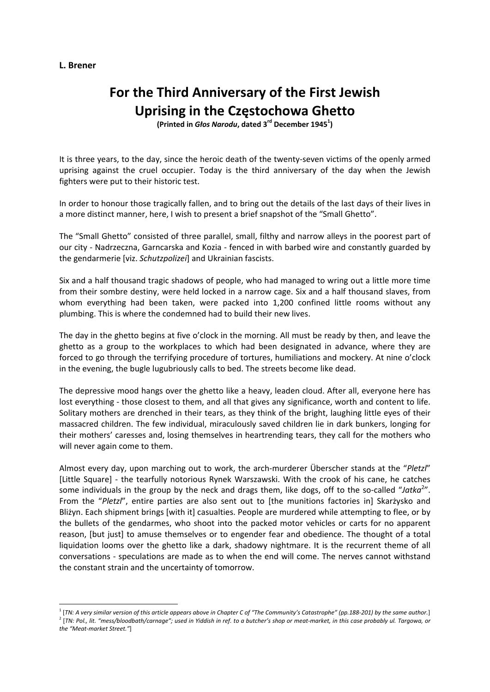## **L. Brener**

## **For the Third Anniversary of the First Jewish Uprising in the Częstochowa Ghetto**

**(Printed in** *Głos Narodu***, dated 3rd December 19451 )**

It is three years, to the day, since the heroic death of the twenty‐seven victims of the openly armed uprising against the cruel occupier. Today is the third anniversary of the day when the Jewish fighters were put to their historic test.

In order to honour those tragically fallen, and to bring out the details of the last days of their lives in a more distinct manner, here, I wish to present a brief snapshot of the "Small Ghetto".

The "Small Ghetto" consisted of three parallel, small, filthy and narrow alleys in the poorest part of our city ‐ Nadrzeczna, Garncarska and Kozia ‐ fenced in with barbed wire and constantly guarded by the gendarmerie [viz. *Schutzpolizei*] and Ukrainian fascists.

Six and a half thousand tragic shadows of people, who had managed to wring out a little more time from their sombre destiny, were held locked in a narrow cage. Six and a half thousand slaves, from whom everything had been taken, were packed into 1,200 confined little rooms without any plumbing. This is where the condemned had to build their new lives.

The day in the ghetto begins at five o'clock in the morning. All must be ready by then, and leave the ghetto as a group to the workplaces to which had been designated in advance, where they are forced to go through the terrifying procedure of tortures, humiliations and mockery. At nine o'clock in the evening, the bugle lugubriously calls to bed. The streets become like dead.

The depressive mood hangs over the ghetto like a heavy, leaden cloud. After all, everyone here has lost everything - those closest to them, and all that gives any significance, worth and content to life. Solitary mothers are drenched in their tears, as they think of the bright, laughing little eyes of their massacred children. The few individual, miraculously saved children lie in dark bunkers, longing for their mothers' caresses and, losing themselves in heartrending tears, they call for the mothers who will never again come to them.

Almost every day, upon marching out to work, the arch‐murderer Überscher stands at the "*Pletzl*" [Little Square] ‐ the tearfully notorious Rynek Warszawski. With the crook of his cane, he catches some individuals in the group by the neck and drags them, like dogs, off to the so-called "Jatka<sup>2</sup>". From the "*Pletzl*", entire parties are also sent out to [the munitions factories in] Skarżysko and Bliżyn. Each shipment brings [with it] casualties. People are murdered while attempting to flee, or by the bullets of the gendarmes, who shoot into the packed motor vehicles or carts for no apparent reason, [but just] to amuse themselves or to engender fear and obedience. The thought of a total liquidation looms over the ghetto like a dark, shadowy nightmare. It is the recurrent theme of all conversations ‐ speculations are made as to when the end will come. The nerves cannot withstand the constant strain and the uncertainty of tomorrow.

 $^1$  [TN: A very similar version of this article appears above in Chapter C of "The Community's Catastrophe" (pp.188-201) by the same author.] <sup>2</sup> [TN: Pol., lit. "mess/bloodbath/carnage"; used in Yiddish in ref. to a butcher's shop or meat-market, in this case probably ul. Targowa, or *the "Meat‐market Street."*]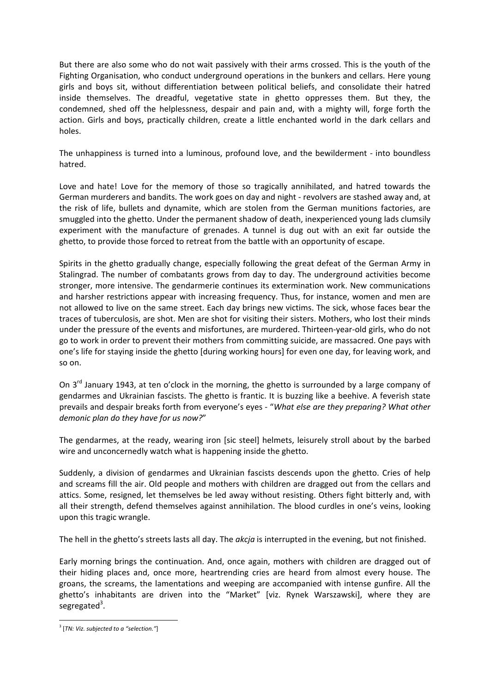But there are also some who do not wait passively with their arms crossed. This is the youth of the Fighting Organisation, who conduct underground operations in the bunkers and cellars. Here young girls and boys sit, without differentiation between political beliefs, and consolidate their hatred inside themselves. The dreadful, vegetative state in ghetto oppresses them. But they, the condemned, shed off the helplessness, despair and pain and, with a mighty will, forge forth the action. Girls and boys, practically children, create a little enchanted world in the dark cellars and holes.

The unhappiness is turned into a luminous, profound love, and the bewilderment ‐ into boundless hatred.

Love and hate! Love for the memory of those so tragically annihilated, and hatred towards the German murderers and bandits. The work goes on day and night ‐ revolvers are stashed away and, at the risk of life, bullets and dynamite, which are stolen from the German munitions factories, are smuggled into the ghetto. Under the permanent shadow of death, inexperienced young lads clumsily experiment with the manufacture of grenades. A tunnel is dug out with an exit far outside the ghetto, to provide those forced to retreat from the battle with an opportunity of escape.

Spirits in the ghetto gradually change, especially following the great defeat of the German Army in Stalingrad. The number of combatants grows from day to day. The underground activities become stronger, more intensive. The gendarmerie continues its extermination work. New communications and harsher restrictions appear with increasing frequency. Thus, for instance, women and men are not allowed to live on the same street. Each day brings new victims. The sick, whose faces bear the traces of tuberculosis, are shot. Men are shot for visiting their sisters. Mothers, who lost their minds under the pressure of the events and misfortunes, are murdered. Thirteen-year-old girls, who do not go to work in order to prevent their mothers from committing suicide, are massacred. One pays with one's life for staying inside the ghetto [during working hours] for even one day, for leaving work, and so on.

On  $3<sup>rd</sup>$  January 1943, at ten o'clock in the morning, the ghetto is surrounded by a large company of gendarmes and Ukrainian fascists. The ghetto is frantic. It is buzzing like a beehive. A feverish state prevails and despair breaks forth from everyone's eyes ‐ "*What else are they preparing? What other demonic plan do they have for us now?*"

The gendarmes, at the ready, wearing iron [sic steel] helmets, leisurely stroll about by the barbed wire and unconcernedly watch what is happening inside the ghetto.

Suddenly, a division of gendarmes and Ukrainian fascists descends upon the ghetto. Cries of help and screams fill the air. Old people and mothers with children are dragged out from the cellars and attics. Some, resigned, let themselves be led away without resisting. Others fight bitterly and, with all their strength, defend themselves against annihilation. The blood curdles in one's veins, looking upon this tragic wrangle.

The hell in the ghetto's streets lasts all day. The *akcja* is interrupted in the evening, but not finished.

Early morning brings the continuation. And, once again, mothers with children are dragged out of their hiding places and, once more, heartrending cries are heard from almost every house. The groans, the screams, the lamentations and weeping are accompanied with intense gunfire. All the ghetto's inhabitants are driven into the "Market" [viz. Rynek Warszawski], where they are segregated<sup>3</sup>.

 <sup>3</sup> [*TN: Viz. subjected to a "selection."*]